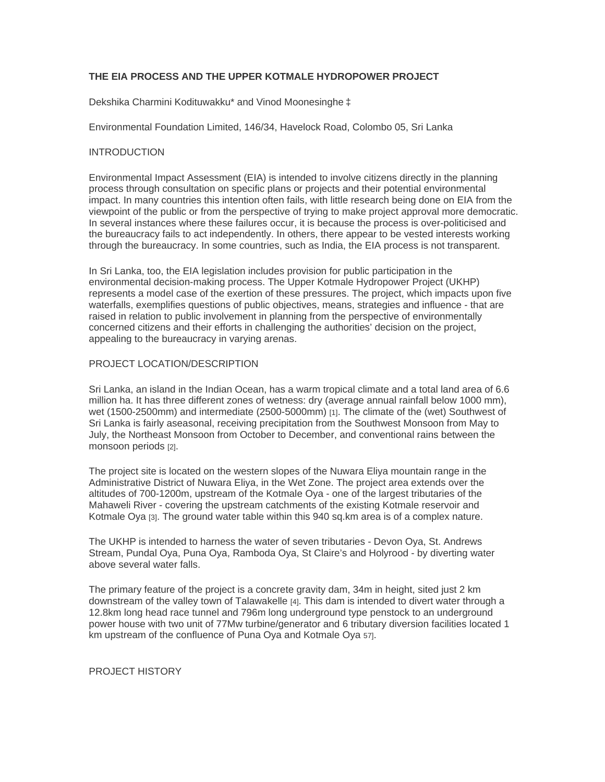# **THE EIA PROCESS AND THE UPPER KOTMALE HYDROPOWER PROJECT**

Dekshika Charmini Kodituwakku\* and Vinod Moonesinghe ‡

Environmental Foundation Limited, 146/34, Havelock Road, Colombo 05, Sri Lanka

## INTRODUCTION

Environmental Impact Assessment (EIA) is intended to involve citizens directly in the planning process through consultation on specific plans or projects and their potential environmental impact. In many countries this intention often fails, with little research being done on EIA from the viewpoint of the public or from the perspective of trying to make project approval more democratic. In several instances where these failures occur, it is because the process is over-politicised and the bureaucracy fails to act independently. In others, there appear to be vested interests working through the bureaucracy. In some countries, such as India, the EIA process is not transparent.

In Sri Lanka, too, the EIA legislation includes provision for public participation in the environmental decision-making process. The Upper Kotmale Hydropower Project (UKHP) represents a model case of the exertion of these pressures. The project, which impacts upon five waterfalls, exemplifies questions of public objectives, means, strategies and influence - that are raised in relation to public involvement in planning from the perspective of environmentally concerned citizens and their efforts in challenging the authorities' decision on the project, appealing to the bureaucracy in varying arenas.

## PROJECT LOCATION/DESCRIPTION

Sri Lanka, an island in the Indian Ocean, has a warm tropical climate and a total land area of 6.6 million ha. It has three different zones of wetness: dry (average annual rainfall below 1000 mm), wet (1500-2500mm) and intermediate (2500-5000mm) [1]. The climate of the (wet) Southwest of Sri Lanka is fairly aseasonal, receiving precipitation from the Southwest Monsoon from May to July, the Northeast Monsoon from October to December, and conventional rains between the monsoon periods [2].

The project site is located on the western slopes of the Nuwara Eliya mountain range in the Administrative District of Nuwara Eliya, in the Wet Zone. The project area extends over the altitudes of 700-1200m, upstream of the Kotmale Oya - one of the largest tributaries of the Mahaweli River - covering the upstream catchments of the existing Kotmale reservoir and Kotmale Oya [3]. The ground water table within this 940 sq.km area is of a complex nature.

The UKHP is intended to harness the water of seven tributaries - Devon Oya, St. Andrews Stream, Pundal Oya, Puna Oya, Ramboda Oya, St Claire's and Holyrood - by diverting water above several water falls.

The primary feature of the project is a concrete gravity dam, 34m in height, sited just 2 km downstream of the valley town of Talawakelle [4]. This dam is intended to divert water through a 12.8km long head race tunnel and 796m long underground type penstock to an underground power house with two unit of 77Mw turbine/generator and 6 tributary diversion facilities located 1 km upstream of the confluence of Puna Oya and Kotmale Oya 57].

#### PROJECT HISTORY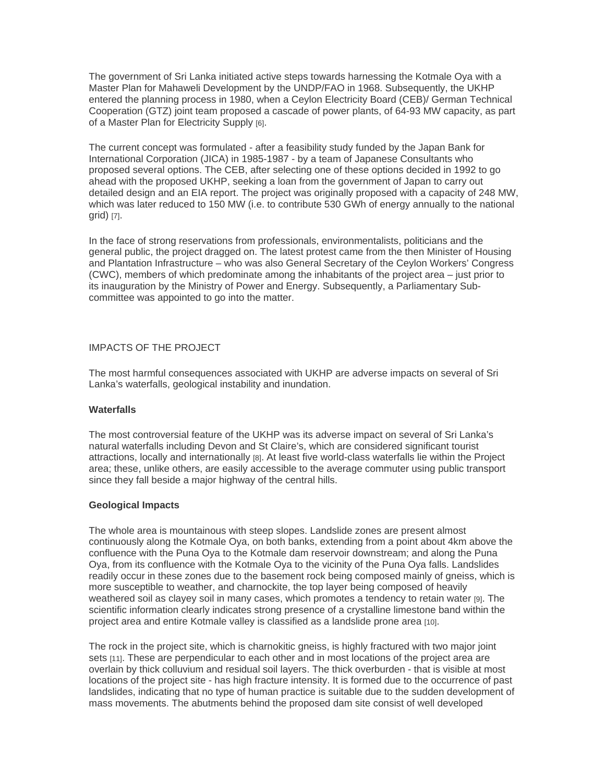The government of Sri Lanka initiated active steps towards harnessing the Kotmale Oya with a Master Plan for Mahaweli Development by the UNDP/FAO in 1968. Subsequently, the UKHP entered the planning process in 1980, when a Ceylon Electricity Board (CEB)/ German Technical Cooperation (GTZ) joint team proposed a cascade of power plants, of 64-93 MW capacity, as part of a Master Plan for Electricity Supply [6].

The current concept was formulated - after a feasibility study funded by the Japan Bank for International Corporation (JICA) in 1985-1987 - by a team of Japanese Consultants who proposed several options. The CEB, after selecting one of these options decided in 1992 to go ahead with the proposed UKHP, seeking a loan from the government of Japan to carry out detailed design and an EIA report. The project was originally proposed with a capacity of 248 MW, which was later reduced to 150 MW (i.e. to contribute 530 GWh of energy annually to the national grid) [7].

In the face of strong reservations from professionals, environmentalists, politicians and the general public, the project dragged on. The latest protest came from the then Minister of Housing and Plantation Infrastructure – who was also General Secretary of the Ceylon Workers' Congress (CWC), members of which predominate among the inhabitants of the project area – just prior to its inauguration by the Ministry of Power and Energy. Subsequently, a Parliamentary Subcommittee was appointed to go into the matter.

## IMPACTS OF THE PROJECT

The most harmful consequences associated with UKHP are adverse impacts on several of Sri Lanka's waterfalls, geological instability and inundation.

### **Waterfalls**

The most controversial feature of the UKHP was its adverse impact on several of Sri Lanka's natural waterfalls including Devon and St Claire's, which are considered significant tourist attractions, locally and internationally [8]. At least five world-class waterfalls lie within the Project area; these, unlike others, are easily accessible to the average commuter using public transport since they fall beside a major highway of the central hills.

### **Geological Impacts**

The whole area is mountainous with steep slopes. Landslide zones are present almost continuously along the Kotmale Oya, on both banks, extending from a point about 4km above the confluence with the Puna Oya to the Kotmale dam reservoir downstream; and along the Puna Oya, from its confluence with the Kotmale Oya to the vicinity of the Puna Oya falls. Landslides readily occur in these zones due to the basement rock being composed mainly of gneiss, which is more susceptible to weather, and charnockite, the top layer being composed of heavily weathered soil as clayey soil in many cases, which promotes a tendency to retain water [9]. The scientific information clearly indicates strong presence of a crystalline limestone band within the project area and entire Kotmale valley is classified as a landslide prone area [10].

The rock in the project site, which is charnokitic gneiss, is highly fractured with two major joint sets [11]. These are perpendicular to each other and in most locations of the project area are overlain by thick colluvium and residual soil layers. The thick overburden - that is visible at most locations of the project site - has high fracture intensity. It is formed due to the occurrence of past landslides, indicating that no type of human practice is suitable due to the sudden development of mass movements. The abutments behind the proposed dam site consist of well developed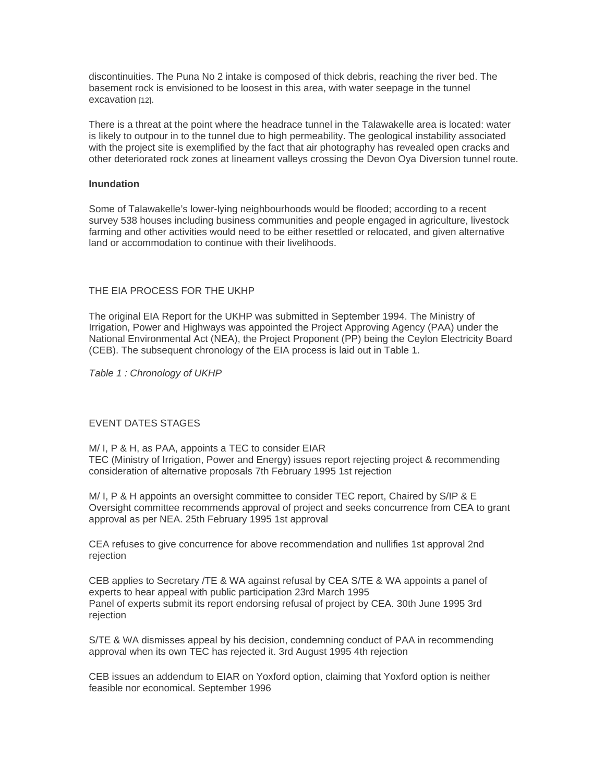discontinuities. The Puna No 2 intake is composed of thick debris, reaching the river bed. The basement rock is envisioned to be loosest in this area, with water seepage in the tunnel excavation [12].

There is a threat at the point where the headrace tunnel in the Talawakelle area is located: water is likely to outpour in to the tunnel due to high permeability. The geological instability associated with the project site is exemplified by the fact that air photography has revealed open cracks and other deteriorated rock zones at lineament valleys crossing the Devon Oya Diversion tunnel route.

## **Inundation**

Some of Talawakelle's lower-lying neighbourhoods would be flooded; according to a recent survey 538 houses including business communities and people engaged in agriculture, livestock farming and other activities would need to be either resettled or relocated, and given alternative land or accommodation to continue with their livelihoods.

### THE EIA PROCESS FOR THE UKHP

The original EIA Report for the UKHP was submitted in September 1994. The Ministry of Irrigation, Power and Highways was appointed the Project Approving Agency (PAA) under the National Environmental Act (NEA), the Project Proponent (PP) being the Ceylon Electricity Board (CEB). The subsequent chronology of the EIA process is laid out in Table 1.

*Table 1 : Chronology of UKHP*

### EVENT DATES STAGES

M/ I, P & H, as PAA, appoints a TEC to consider EIAR TEC (Ministry of Irrigation, Power and Energy) issues report rejecting project & recommending consideration of alternative proposals 7th February 1995 1st rejection

M/ I, P & H appoints an oversight committee to consider TEC report, Chaired by S/IP & E Oversight committee recommends approval of project and seeks concurrence from CEA to grant approval as per NEA. 25th February 1995 1st approval

CEA refuses to give concurrence for above recommendation and nullifies 1st approval 2nd rejection

CEB applies to Secretary /TE & WA against refusal by CEA S/TE & WA appoints a panel of experts to hear appeal with public participation 23rd March 1995 Panel of experts submit its report endorsing refusal of project by CEA. 30th June 1995 3rd rejection

S/TE & WA dismisses appeal by his decision, condemning conduct of PAA in recommending approval when its own TEC has rejected it. 3rd August 1995 4th rejection

CEB issues an addendum to EIAR on Yoxford option, claiming that Yoxford option is neither feasible nor economical. September 1996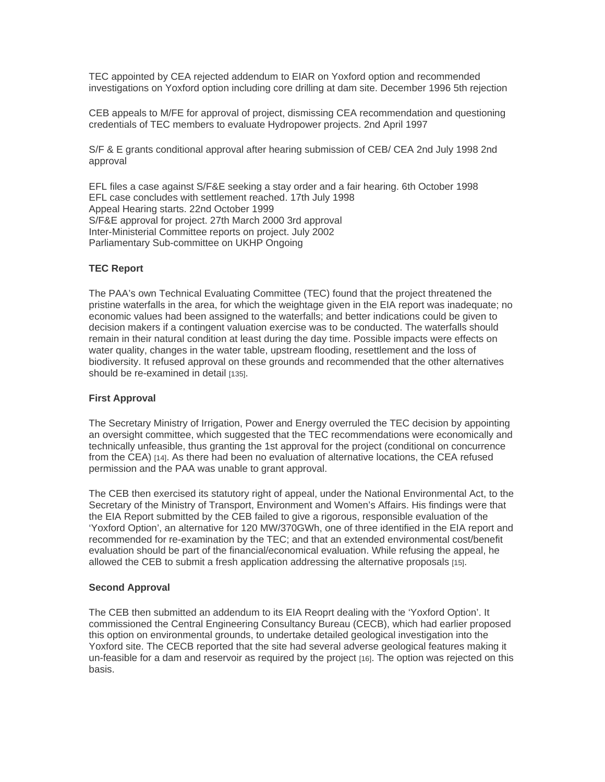TEC appointed by CEA rejected addendum to EIAR on Yoxford option and recommended investigations on Yoxford option including core drilling at dam site. December 1996 5th rejection

CEB appeals to M/FE for approval of project, dismissing CEA recommendation and questioning credentials of TEC members to evaluate Hydropower projects. 2nd April 1997

S/F & E grants conditional approval after hearing submission of CEB/ CEA 2nd July 1998 2nd approval

EFL files a case against S/F&E seeking a stay order and a fair hearing. 6th October 1998 EFL case concludes with settlement reached. 17th July 1998 Appeal Hearing starts. 22nd October 1999 S/F&E approval for project. 27th March 2000 3rd approval Inter-Ministerial Committee reports on project. July 2002 Parliamentary Sub-committee on UKHP Ongoing

# **TEC Report**

The PAA's own Technical Evaluating Committee (TEC) found that the project threatened the pristine waterfalls in the area, for which the weightage given in the EIA report was inadequate; no economic values had been assigned to the waterfalls; and better indications could be given to decision makers if a contingent valuation exercise was to be conducted. The waterfalls should remain in their natural condition at least during the day time. Possible impacts were effects on water quality, changes in the water table, upstream flooding, resettlement and the loss of biodiversity. It refused approval on these grounds and recommended that the other alternatives should be re-examined in detail [135].

# **First Approval**

The Secretary Ministry of Irrigation, Power and Energy overruled the TEC decision by appointing an oversight committee, which suggested that the TEC recommendations were economically and technically unfeasible, thus granting the 1st approval for the project (conditional on concurrence from the CEA) [14]. As there had been no evaluation of alternative locations, the CEA refused permission and the PAA was unable to grant approval.

The CEB then exercised its statutory right of appeal, under the National Environmental Act, to the Secretary of the Ministry of Transport, Environment and Women's Affairs. His findings were that the EIA Report submitted by the CEB failed to give a rigorous, responsible evaluation of the 'Yoxford Option', an alternative for 120 MW/370GWh, one of three identified in the EIA report and recommended for re-examination by the TEC; and that an extended environmental cost/benefit evaluation should be part of the financial/economical evaluation. While refusing the appeal, he allowed the CEB to submit a fresh application addressing the alternative proposals [15].

### **Second Approval**

The CEB then submitted an addendum to its EIA Reoprt dealing with the 'Yoxford Option'. It commissioned the Central Engineering Consultancy Bureau (CECB), which had earlier proposed this option on environmental grounds, to undertake detailed geological investigation into the Yoxford site. The CECB reported that the site had several adverse geological features making it un-feasible for a dam and reservoir as required by the project [16]. The option was rejected on this basis.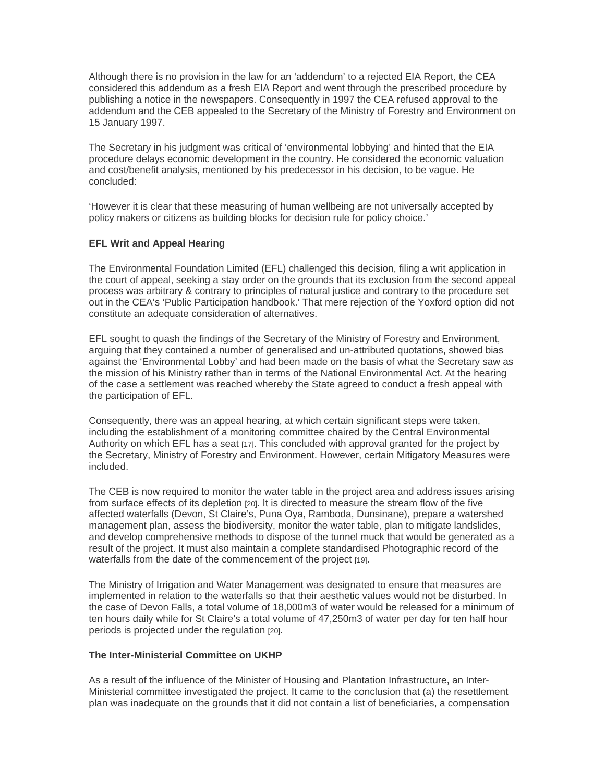Although there is no provision in the law for an 'addendum' to a rejected EIA Report, the CEA considered this addendum as a fresh EIA Report and went through the prescribed procedure by publishing a notice in the newspapers. Consequently in 1997 the CEA refused approval to the addendum and the CEB appealed to the Secretary of the Ministry of Forestry and Environment on 15 January 1997.

The Secretary in his judgment was critical of 'environmental lobbying' and hinted that the EIA procedure delays economic development in the country. He considered the economic valuation and cost/benefit analysis, mentioned by his predecessor in his decision, to be vague. He concluded:

'However it is clear that these measuring of human wellbeing are not universally accepted by policy makers or citizens as building blocks for decision rule for policy choice.'

### **EFL Writ and Appeal Hearing**

The Environmental Foundation Limited (EFL) challenged this decision, filing a writ application in the court of appeal, seeking a stay order on the grounds that its exclusion from the second appeal process was arbitrary & contrary to principles of natural justice and contrary to the procedure set out in the CEA's 'Public Participation handbook.' That mere rejection of the Yoxford option did not constitute an adequate consideration of alternatives.

EFL sought to quash the findings of the Secretary of the Ministry of Forestry and Environment, arguing that they contained a number of generalised and un-attributed quotations, showed bias against the 'Environmental Lobby' and had been made on the basis of what the Secretary saw as the mission of his Ministry rather than in terms of the National Environmental Act. At the hearing of the case a settlement was reached whereby the State agreed to conduct a fresh appeal with the participation of EFL.

Consequently, there was an appeal hearing, at which certain significant steps were taken, including the establishment of a monitoring committee chaired by the Central Environmental Authority on which EFL has a seat [17]. This concluded with approval granted for the project by the Secretary, Ministry of Forestry and Environment. However, certain Mitigatory Measures were included.

The CEB is now required to monitor the water table in the project area and address issues arising from surface effects of its depletion [20]. It is directed to measure the stream flow of the five affected waterfalls (Devon, St Claire's, Puna Oya, Ramboda, Dunsinane), prepare a watershed management plan, assess the biodiversity, monitor the water table, plan to mitigate landslides, and develop comprehensive methods to dispose of the tunnel muck that would be generated as a result of the project. It must also maintain a complete standardised Photographic record of the waterfalls from the date of the commencement of the project [19].

The Ministry of Irrigation and Water Management was designated to ensure that measures are implemented in relation to the waterfalls so that their aesthetic values would not be disturbed. In the case of Devon Falls, a total volume of 18,000m3 of water would be released for a minimum of ten hours daily while for St Claire's a total volume of 47,250m3 of water per day for ten half hour periods is projected under the regulation [20].

### **The Inter-Ministerial Committee on UKHP**

As a result of the influence of the Minister of Housing and Plantation Infrastructure, an Inter-Ministerial committee investigated the project. It came to the conclusion that (a) the resettlement plan was inadequate on the grounds that it did not contain a list of beneficiaries, a compensation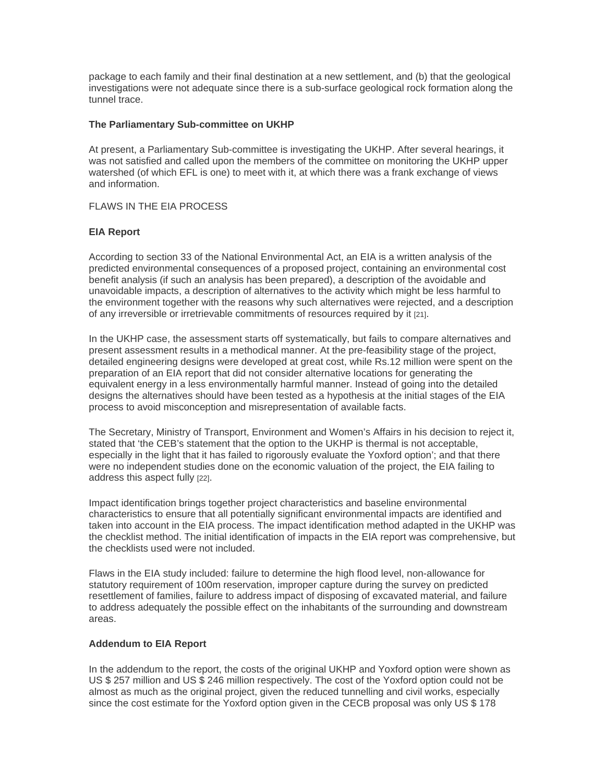package to each family and their final destination at a new settlement, and (b) that the geological investigations were not adequate since there is a sub-surface geological rock formation along the tunnel trace.

### **The Parliamentary Sub-committee on UKHP**

At present, a Parliamentary Sub-committee is investigating the UKHP. After several hearings, it was not satisfied and called upon the members of the committee on monitoring the UKHP upper watershed (of which EFL is one) to meet with it, at which there was a frank exchange of views and information.

# FLAWS IN THE EIA PROCESS

## **EIA Report**

According to section 33 of the National Environmental Act, an EIA is a written analysis of the predicted environmental consequences of a proposed project, containing an environmental cost benefit analysis (if such an analysis has been prepared), a description of the avoidable and unavoidable impacts, a description of alternatives to the activity which might be less harmful to the environment together with the reasons why such alternatives were rejected, and a description of any irreversible or irretrievable commitments of resources required by it [21].

In the UKHP case, the assessment starts off systematically, but fails to compare alternatives and present assessment results in a methodical manner. At the pre-feasibility stage of the project, detailed engineering designs were developed at great cost, while Rs.12 million were spent on the preparation of an EIA report that did not consider alternative locations for generating the equivalent energy in a less environmentally harmful manner. Instead of going into the detailed designs the alternatives should have been tested as a hypothesis at the initial stages of the EIA process to avoid misconception and misrepresentation of available facts.

The Secretary, Ministry of Transport, Environment and Women's Affairs in his decision to reject it, stated that 'the CEB's statement that the option to the UKHP is thermal is not acceptable, especially in the light that it has failed to rigorously evaluate the Yoxford option'; and that there were no independent studies done on the economic valuation of the project, the EIA failing to address this aspect fully [22].

Impact identification brings together project characteristics and baseline environmental characteristics to ensure that all potentially significant environmental impacts are identified and taken into account in the EIA process. The impact identification method adapted in the UKHP was the checklist method. The initial identification of impacts in the EIA report was comprehensive, but the checklists used were not included.

Flaws in the EIA study included: failure to determine the high flood level, non-allowance for statutory requirement of 100m reservation, improper capture during the survey on predicted resettlement of families, failure to address impact of disposing of excavated material, and failure to address adequately the possible effect on the inhabitants of the surrounding and downstream areas.

### **Addendum to EIA Report**

In the addendum to the report, the costs of the original UKHP and Yoxford option were shown as US \$ 257 million and US \$ 246 million respectively. The cost of the Yoxford option could not be almost as much as the original project, given the reduced tunnelling and civil works, especially since the cost estimate for the Yoxford option given in the CECB proposal was only US \$178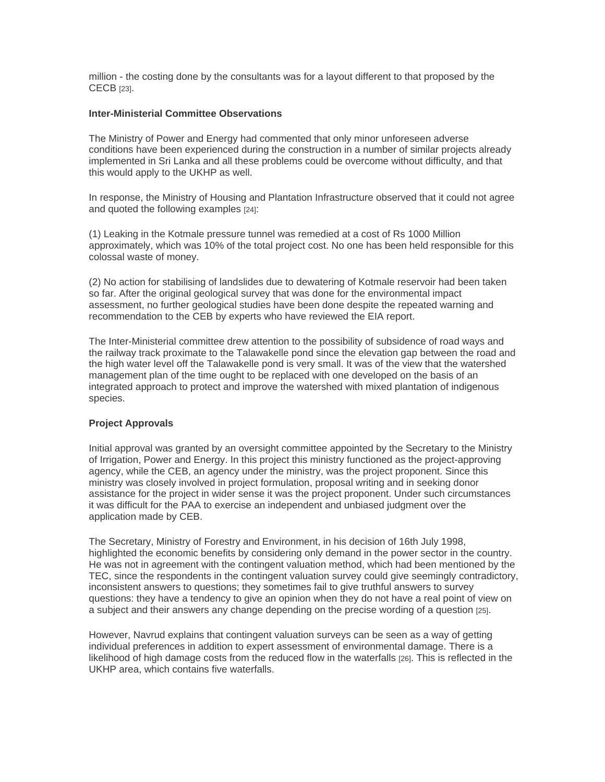million - the costing done by the consultants was for a layout different to that proposed by the CECB [23].

### **Inter-Ministerial Committee Observations**

The Ministry of Power and Energy had commented that only minor unforeseen adverse conditions have been experienced during the construction in a number of similar projects already implemented in Sri Lanka and all these problems could be overcome without difficulty, and that this would apply to the UKHP as well.

In response, the Ministry of Housing and Plantation Infrastructure observed that it could not agree and quoted the following examples [24]:

(1) Leaking in the Kotmale pressure tunnel was remedied at a cost of Rs 1000 Million approximately, which was 10% of the total project cost. No one has been held responsible for this colossal waste of money.

(2) No action for stabilising of landslides due to dewatering of Kotmale reservoir had been taken so far. After the original geological survey that was done for the environmental impact assessment, no further geological studies have been done despite the repeated warning and recommendation to the CEB by experts who have reviewed the EIA report.

The Inter-Ministerial committee drew attention to the possibility of subsidence of road ways and the railway track proximate to the Talawakelle pond since the elevation gap between the road and the high water level off the Talawakelle pond is very small. It was of the view that the watershed management plan of the time ought to be replaced with one developed on the basis of an integrated approach to protect and improve the watershed with mixed plantation of indigenous species.

### **Project Approvals**

Initial approval was granted by an oversight committee appointed by the Secretary to the Ministry of Irrigation, Power and Energy. In this project this ministry functioned as the project-approving agency, while the CEB, an agency under the ministry, was the project proponent. Since this ministry was closely involved in project formulation, proposal writing and in seeking donor assistance for the project in wider sense it was the project proponent. Under such circumstances it was difficult for the PAA to exercise an independent and unbiased judgment over the application made by CEB.

The Secretary, Ministry of Forestry and Environment, in his decision of 16th July 1998, highlighted the economic benefits by considering only demand in the power sector in the country. He was not in agreement with the contingent valuation method, which had been mentioned by the TEC, since the respondents in the contingent valuation survey could give seemingly contradictory, inconsistent answers to questions; they sometimes fail to give truthful answers to survey questions: they have a tendency to give an opinion when they do not have a real point of view on a subject and their answers any change depending on the precise wording of a question [25].

However, Navrud explains that contingent valuation surveys can be seen as a way of getting individual preferences in addition to expert assessment of environmental damage. There is a likelihood of high damage costs from the reduced flow in the waterfalls [26]. This is reflected in the UKHP area, which contains five waterfalls.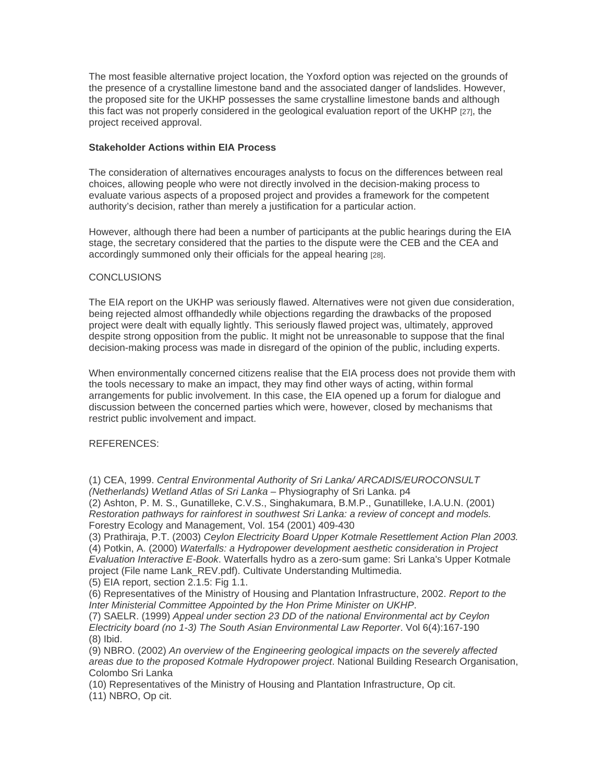The most feasible alternative project location, the Yoxford option was rejected on the grounds of the presence of a crystalline limestone band and the associated danger of landslides. However, the proposed site for the UKHP possesses the same crystalline limestone bands and although this fact was not properly considered in the geological evaluation report of the UKHP [27], the project received approval.

## **Stakeholder Actions within EIA Process**

The consideration of alternatives encourages analysts to focus on the differences between real choices, allowing people who were not directly involved in the decision-making process to evaluate various aspects of a proposed project and provides a framework for the competent authority's decision, rather than merely a justification for a particular action.

However, although there had been a number of participants at the public hearings during the EIA stage, the secretary considered that the parties to the dispute were the CEB and the CEA and accordingly summoned only their officials for the appeal hearing [28].

## **CONCLUSIONS**

The EIA report on the UKHP was seriously flawed. Alternatives were not given due consideration, being rejected almost offhandedly while objections regarding the drawbacks of the proposed project were dealt with equally lightly. This seriously flawed project was, ultimately, approved despite strong opposition from the public. It might not be unreasonable to suppose that the final decision-making process was made in disregard of the opinion of the public, including experts.

When environmentally concerned citizens realise that the EIA process does not provide them with the tools necessary to make an impact, they may find other ways of acting, within formal arrangements for public involvement. In this case, the EIA opened up a forum for dialogue and discussion between the concerned parties which were, however, closed by mechanisms that restrict public involvement and impact.

### REFERENCES:

(1) CEA, 1999. *Central Environmental Authority of Sri Lanka/ ARCADIS/EUROCONSULT (Netherlands) Wetland Atlas of Sri Lanka* – Physiography of Sri Lanka. p4

(2) Ashton, P. M. S., Gunatilleke, C.V.S., Singhakumara, B.M.P., Gunatilleke, I.A.U.N. (2001) *Restoration pathways for rainforest in southwest Sri Lanka: a review of concept and models.* Forestry Ecology and Management, Vol. 154 (2001) 409-430

(3) Prathiraja, P.T. (2003) *Ceylon Electricity Board Upper Kotmale Resettlement Action Plan 2003.*

(4) Potkin, A. (2000) *Waterfalls: a Hydropower development aesthetic consideration in Project Evaluation Interactive E-Book*. Waterfalls hydro as a zero-sum game: Sri Lanka's Upper Kotmale project (File name Lank\_REV.pdf). Cultivate Understanding Multimedia. (5) EIA report, section 2.1.5: Fig 1.1.

(6) Representatives of the Ministry of Housing and Plantation Infrastructure, 2002. *Report to the Inter Ministerial Committee Appointed by the Hon Prime Minister on UKHP*.

(7) SAELR. (1999) *Appeal under section 23 DD of the national Environmental act by Ceylon Electricity board (no 1-3) The South Asian Environmental Law Reporter*. Vol 6(4):167-190 (8) Ibid.

(9) NBRO. (2002) *An overview of the Engineering geological impacts on the severely affected areas due to the proposed Kotmale Hydropower project*. National Building Research Organisation, Colombo Sri Lanka

(10) Representatives of the Ministry of Housing and Plantation Infrastructure, Op cit.

(11) NBRO, Op cit.